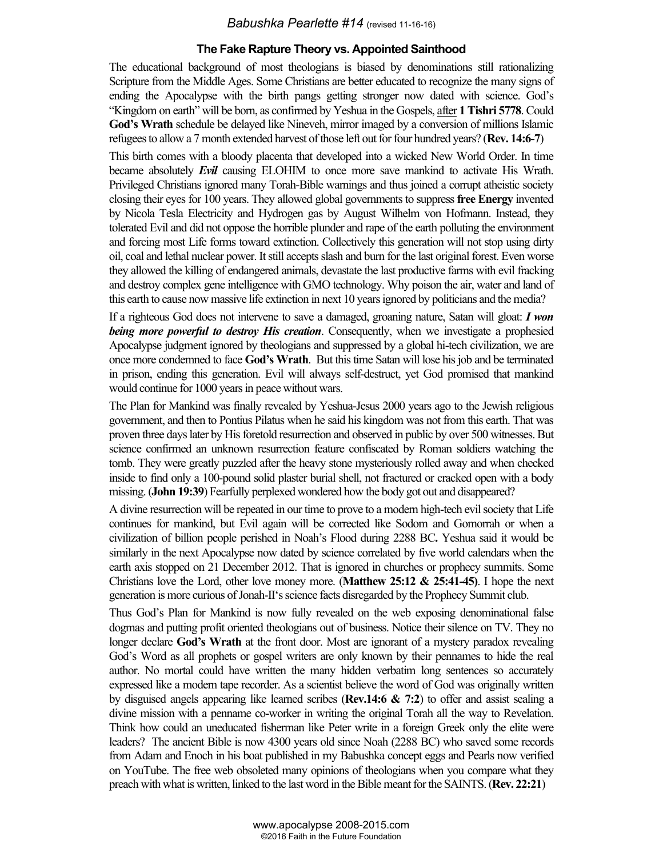## *Babushka Pearlette #14* (revised 11-16-16)

## **The Fake Rapture Theory vs. Appointed Sainthood**

The educational background of most theologians is biased by denominations still rationalizing Scripture from the Middle Ages. Some Christians are better educated to recognize the many signs of ending the Apocalypse with the birth pangs getting stronger now dated with science. God's "Kingdom on earth" will be born, as confirmed by Yeshua in the Gospels, after **1 Tishri 5778**. Could **God's Wrath** schedule be delayed like Nineveh, mirror imaged by a conversion of millions Islamic refugees to allow a 7 month extended harvest of those left out for four hundred years? (**Rev. 14:6-7**)

This birth comes with a bloody placenta that developed into a wicked New World Order. In time became absolutely *Evil* causing ELOHIM to once more save mankind to activate His Wrath. Privileged Christians ignored many Torah-Bible warnings and thus joined a corrupt atheistic society closing their eyes for 100 years. They allowed global governments to suppress **free Energy** invented by Nicola Tesla Electricity and Hydrogen gas by August Wilhelm von Hofmann. Instead, they tolerated Evil and did not oppose the horrible plunder and rape of the earth polluting the environment and forcing most Life forms toward extinction. Collectively this generation will not stop using dirty oil, coal and lethal nuclear power. It still accepts slash and burn for the last original forest. Even worse they allowed the killing of endangered animals, devastate the last productive farms with evil fracking and destroy complex gene intelligence with GMO technology. Why poison the air, water and land of this earth to cause now massive life extinction in next 10 years ignored by politicians and the media?

If a righteous God does not intervene to save a damaged, groaning nature, Satan will gloat: *I won being more powerful to destroy His creation*. Consequently, when we investigate a prophesied Apocalypse judgment ignored by theologians and suppressed by a global hi-tech civilization, we are once more condemned to face **God's Wrath**. But this time Satan will lose his job and be terminated in prison, ending this generation. Evil will always self-destruct, yet God promised that mankind would continue for 1000 years in peace without wars.

The Plan for Mankind was finally revealed by Yeshua-Jesus 2000 years ago to the Jewish religious government, and then to Pontius Pilatus when he said his kingdom was not from this earth. That was proven three days later by His foretold resurrection and observed in public by over 500 witnesses. But science confirmed an unknown resurrection feature confiscated by Roman soldiers watching the tomb. They were greatly puzzled after the heavy stone mysteriously rolled away and when checked inside to find only a 100-pound solid plaster burial shell, not fractured or cracked open with a body missing. (**John 19:39**) Fearfully perplexed wondered how the body got out and disappeared?

A divine resurrection will be repeated in our time to prove to a modern high-tech evil society that Life continues for mankind, but Evil again will be corrected like Sodom and Gomorrah or when a civilization of billion people perished in Noah's Flood during 2288 BC**.** Yeshua said it would be similarly in the next Apocalypse now dated by science correlated by five world calendars when the earth axis stopped on 21 December 2012. That is ignored in churches or prophecy summits. Some Christians love the Lord, other love money more. (**Matthew 25:12 & 25:41-45)**. I hope the next generation is more curious of Jonah-II's science facts disregarded by the Prophecy Summit club.

Thus God's Plan for Mankind is now fully revealed on the web exposing denominational false dogmas and putting profit oriented theologians out of business. Notice their silence on TV. They no longer declare **God's Wrath** at the front door. Most are ignorant of a mystery paradox revealing God's Word as all prophets or gospel writers are only known by their pennames to hide the real author. No mortal could have written the many hidden verbatim long sentences so accurately expressed like a modern tape recorder. As a scientist believe the word of God was originally written by disguised angels appearing like learned scribes (**Rev.14:6 & 7:2**) to offer and assist sealing a divine mission with a penname co-worker in writing the original Torah all the way to Revelation. Think how could an uneducated fisherman like Peter write in a foreign Greek only the elite were leaders? The ancient Bible is now 4300 years old since Noah (2288 BC) who saved some records from Adam and Enoch in his boat published in my Babushka concept eggs and Pearls now verified on YouTube. The free web obsoleted many opinions of theologians when you compare what they preach with what is written, linked to the last word in the Bible meant forthe SAINTS. (**Rev. 22:21**)